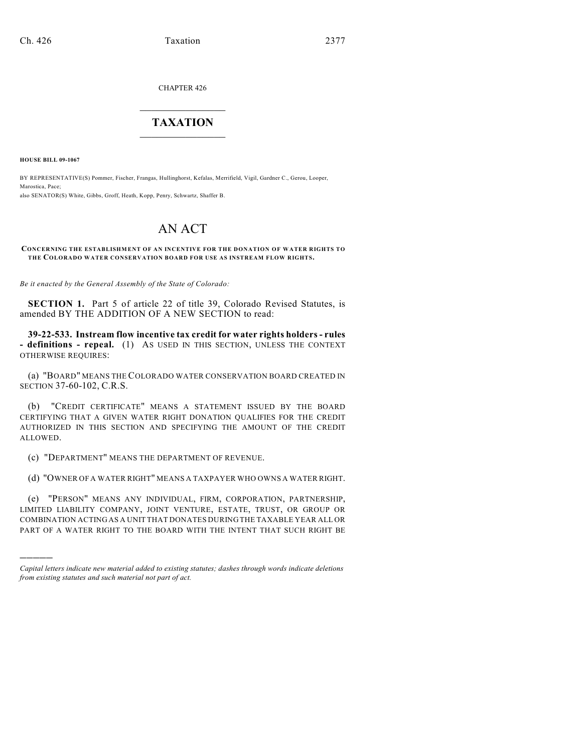CHAPTER 426

## $\mathcal{L}_\text{max}$  . The set of the set of the set of the set of the set of the set of the set of the set of the set of the set of the set of the set of the set of the set of the set of the set of the set of the set of the set **TAXATION**  $\_$

**HOUSE BILL 09-1067**

)))))

BY REPRESENTATIVE(S) Pommer, Fischer, Frangas, Hullinghorst, Kefalas, Merrifield, Vigil, Gardner C., Gerou, Looper, Marostica, Pace; also SENATOR(S) White, Gibbs, Groff, Heath, Kopp, Penry, Schwartz, Shaffer B.

## AN ACT

**CONCERNING THE ESTABLISHMENT OF AN INCENTIVE FOR THE DONATION OF WATER RIGHTS TO THE COLORADO WATER CONSERVATION BOARD FOR USE AS INSTREAM FLOW RIGHTS.**

*Be it enacted by the General Assembly of the State of Colorado:*

**SECTION 1.** Part 5 of article 22 of title 39, Colorado Revised Statutes, is amended BY THE ADDITION OF A NEW SECTION to read:

**39-22-533. Instream flow incentive tax credit for water rights holders - rules - definitions - repeal.** (1) AS USED IN THIS SECTION, UNLESS THE CONTEXT OTHERWISE REQUIRES:

(a) "BOARD" MEANS THE COLORADO WATER CONSERVATION BOARD CREATED IN SECTION 37-60-102, C.R.S.

(b) "CREDIT CERTIFICATE" MEANS A STATEMENT ISSUED BY THE BOARD CERTIFYING THAT A GIVEN WATER RIGHT DONATION QUALIFIES FOR THE CREDIT AUTHORIZED IN THIS SECTION AND SPECIFYING THE AMOUNT OF THE CREDIT ALLOWED.

(c) "DEPARTMENT" MEANS THE DEPARTMENT OF REVENUE.

(d) "OWNER OF A WATER RIGHT" MEANS A TAXPAYER WHO OWNS A WATER RIGHT.

(e) "PERSON" MEANS ANY INDIVIDUAL, FIRM, CORPORATION, PARTNERSHIP, LIMITED LIABILITY COMPANY, JOINT VENTURE, ESTATE, TRUST, OR GROUP OR COMBINATION ACTING AS A UNIT THAT DONATES DURING THE TAXABLE YEAR ALL OR PART OF A WATER RIGHT TO THE BOARD WITH THE INTENT THAT SUCH RIGHT BE

*Capital letters indicate new material added to existing statutes; dashes through words indicate deletions from existing statutes and such material not part of act.*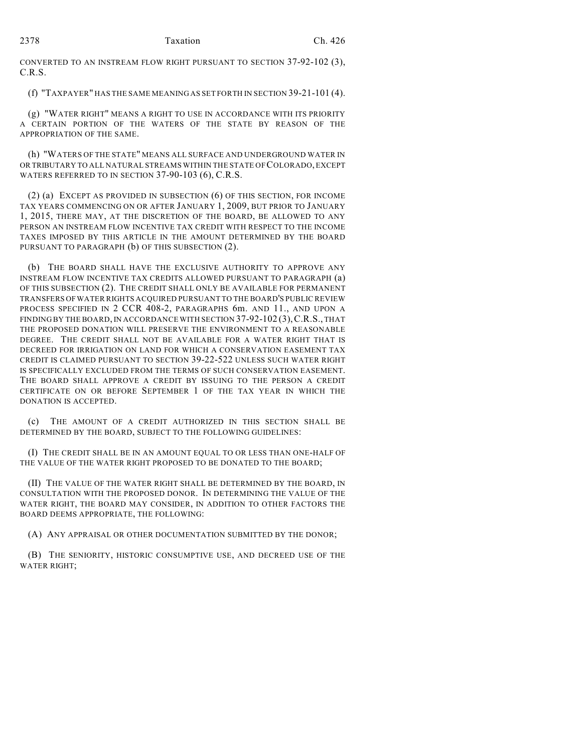CONVERTED TO AN INSTREAM FLOW RIGHT PURSUANT TO SECTION 37-92-102 (3), C.R.S.

(f) "TAXPAYER" HAS THE SAME MEANING AS SET FORTH IN SECTION 39-21-101 (4).

(g) "WATER RIGHT" MEANS A RIGHT TO USE IN ACCORDANCE WITH ITS PRIORITY A CERTAIN PORTION OF THE WATERS OF THE STATE BY REASON OF THE APPROPRIATION OF THE SAME.

(h) "WATERS OF THE STATE" MEANS ALL SURFACE AND UNDERGROUND WATER IN OR TRIBUTARY TO ALL NATURAL STREAMS WITHIN THE STATE OF COLORADO, EXCEPT WATERS REFERRED TO IN SECTION 37-90-103 (6), C.R.S.

(2) (a) EXCEPT AS PROVIDED IN SUBSECTION (6) OF THIS SECTION, FOR INCOME TAX YEARS COMMENCING ON OR AFTER JANUARY 1, 2009, BUT PRIOR TO JANUARY 1, 2015, THERE MAY, AT THE DISCRETION OF THE BOARD, BE ALLOWED TO ANY PERSON AN INSTREAM FLOW INCENTIVE TAX CREDIT WITH RESPECT TO THE INCOME TAXES IMPOSED BY THIS ARTICLE IN THE AMOUNT DETERMINED BY THE BOARD PURSUANT TO PARAGRAPH (b) OF THIS SUBSECTION (2).

(b) THE BOARD SHALL HAVE THE EXCLUSIVE AUTHORITY TO APPROVE ANY INSTREAM FLOW INCENTIVE TAX CREDITS ALLOWED PURSUANT TO PARAGRAPH (a) OF THIS SUBSECTION (2). THE CREDIT SHALL ONLY BE AVAILABLE FOR PERMANENT TRANSFERS OF WATER RIGHTS ACQUIRED PURSUANT TO THE BOARD'S PUBLIC REVIEW PROCESS SPECIFIED IN 2 CCR 408-2, PARAGRAPHS 6m. AND 11., AND UPON A FINDING BY THE BOARD, IN ACCORDANCE WITH SECTION 37-92-102 (3), C.R.S., THAT THE PROPOSED DONATION WILL PRESERVE THE ENVIRONMENT TO A REASONABLE DEGREE. THE CREDIT SHALL NOT BE AVAILABLE FOR A WATER RIGHT THAT IS DECREED FOR IRRIGATION ON LAND FOR WHICH A CONSERVATION EASEMENT TAX CREDIT IS CLAIMED PURSUANT TO SECTION 39-22-522 UNLESS SUCH WATER RIGHT IS SPECIFICALLY EXCLUDED FROM THE TERMS OF SUCH CONSERVATION EASEMENT. THE BOARD SHALL APPROVE A CREDIT BY ISSUING TO THE PERSON A CREDIT CERTIFICATE ON OR BEFORE SEPTEMBER 1 OF THE TAX YEAR IN WHICH THE DONATION IS ACCEPTED.

(c) THE AMOUNT OF A CREDIT AUTHORIZED IN THIS SECTION SHALL BE DETERMINED BY THE BOARD, SUBJECT TO THE FOLLOWING GUIDELINES:

(I) THE CREDIT SHALL BE IN AN AMOUNT EQUAL TO OR LESS THAN ONE-HALF OF THE VALUE OF THE WATER RIGHT PROPOSED TO BE DONATED TO THE BOARD;

(II) THE VALUE OF THE WATER RIGHT SHALL BE DETERMINED BY THE BOARD, IN CONSULTATION WITH THE PROPOSED DONOR. IN DETERMINING THE VALUE OF THE WATER RIGHT, THE BOARD MAY CONSIDER, IN ADDITION TO OTHER FACTORS THE BOARD DEEMS APPROPRIATE, THE FOLLOWING:

(A) ANY APPRAISAL OR OTHER DOCUMENTATION SUBMITTED BY THE DONOR;

(B) THE SENIORITY, HISTORIC CONSUMPTIVE USE, AND DECREED USE OF THE WATER RIGHT;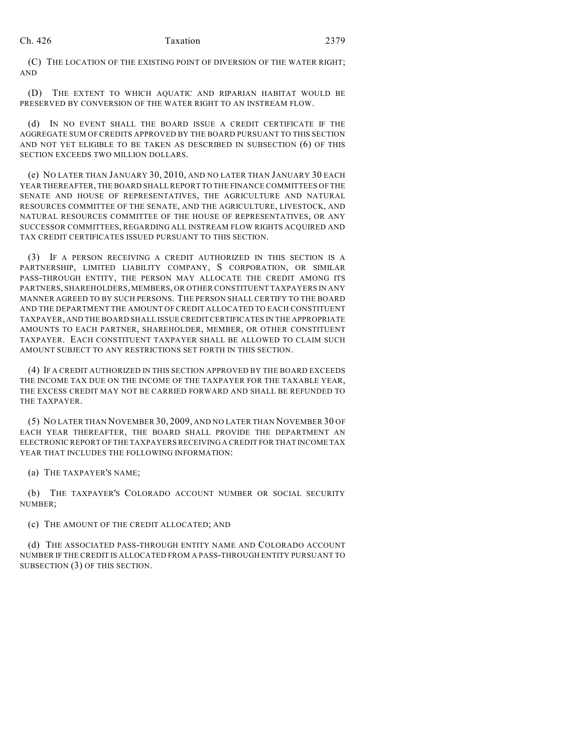(C) THE LOCATION OF THE EXISTING POINT OF DIVERSION OF THE WATER RIGHT; AND

(D) THE EXTENT TO WHICH AQUATIC AND RIPARIAN HABITAT WOULD BE PRESERVED BY CONVERSION OF THE WATER RIGHT TO AN INSTREAM FLOW.

(d) IN NO EVENT SHALL THE BOARD ISSUE A CREDIT CERTIFICATE IF THE AGGREGATE SUM OF CREDITS APPROVED BY THE BOARD PURSUANT TO THIS SECTION AND NOT YET ELIGIBLE TO BE TAKEN AS DESCRIBED IN SUBSECTION (6) OF THIS SECTION EXCEEDS TWO MILLION DOLLARS.

(e) NO LATER THAN JANUARY 30, 2010, AND NO LATER THAN JANUARY 30 EACH YEAR THEREAFTER, THE BOARD SHALL REPORT TO THE FINANCE COMMITTEES OF THE SENATE AND HOUSE OF REPRESENTATIVES, THE AGRICULTURE AND NATURAL RESOURCES COMMITTEE OF THE SENATE, AND THE AGRICULTURE, LIVESTOCK, AND NATURAL RESOURCES COMMITTEE OF THE HOUSE OF REPRESENTATIVES, OR ANY SUCCESSOR COMMITTEES, REGARDING ALL INSTREAM FLOW RIGHTS ACQUIRED AND TAX CREDIT CERTIFICATES ISSUED PURSUANT TO THIS SECTION.

(3) IF A PERSON RECEIVING A CREDIT AUTHORIZED IN THIS SECTION IS A PARTNERSHIP, LIMITED LIABILITY COMPANY, S CORPORATION, OR SIMILAR PASS-THROUGH ENTITY, THE PERSON MAY ALLOCATE THE CREDIT AMONG ITS PARTNERS, SHAREHOLDERS, MEMBERS, OR OTHER CONSTITUENT TAXPAYERS IN ANY MANNER AGREED TO BY SUCH PERSONS. THE PERSON SHALL CERTIFY TO THE BOARD AND THE DEPARTMENT THE AMOUNT OF CREDIT ALLOCATED TO EACH CONSTITUENT TAXPAYER, AND THE BOARD SHALL ISSUE CREDIT CERTIFICATES IN THE APPROPRIATE AMOUNTS TO EACH PARTNER, SHAREHOLDER, MEMBER, OR OTHER CONSTITUENT TAXPAYER. EACH CONSTITUENT TAXPAYER SHALL BE ALLOWED TO CLAIM SUCH AMOUNT SUBJECT TO ANY RESTRICTIONS SET FORTH IN THIS SECTION.

(4) IF A CREDIT AUTHORIZED IN THIS SECTION APPROVED BY THE BOARD EXCEEDS THE INCOME TAX DUE ON THE INCOME OF THE TAXPAYER FOR THE TAXABLE YEAR, THE EXCESS CREDIT MAY NOT BE CARRIED FORWARD AND SHALL BE REFUNDED TO THE TAXPAYER.

(5) NO LATER THAN NOVEMBER 30, 2009, AND NO LATER THAN NOVEMBER 30 OF EACH YEAR THEREAFTER, THE BOARD SHALL PROVIDE THE DEPARTMENT AN ELECTRONIC REPORT OF THE TAXPAYERS RECEIVING A CREDIT FOR THAT INCOME TAX YEAR THAT INCLUDES THE FOLLOWING INFORMATION:

(a) THE TAXPAYER'S NAME;

(b) THE TAXPAYER'S COLORADO ACCOUNT NUMBER OR SOCIAL SECURITY NUMBER;

(c) THE AMOUNT OF THE CREDIT ALLOCATED; AND

(d) THE ASSOCIATED PASS-THROUGH ENTITY NAME AND COLORADO ACCOUNT NUMBER IF THE CREDIT IS ALLOCATED FROM A PASS-THROUGH ENTITY PURSUANT TO SUBSECTION (3) OF THIS SECTION.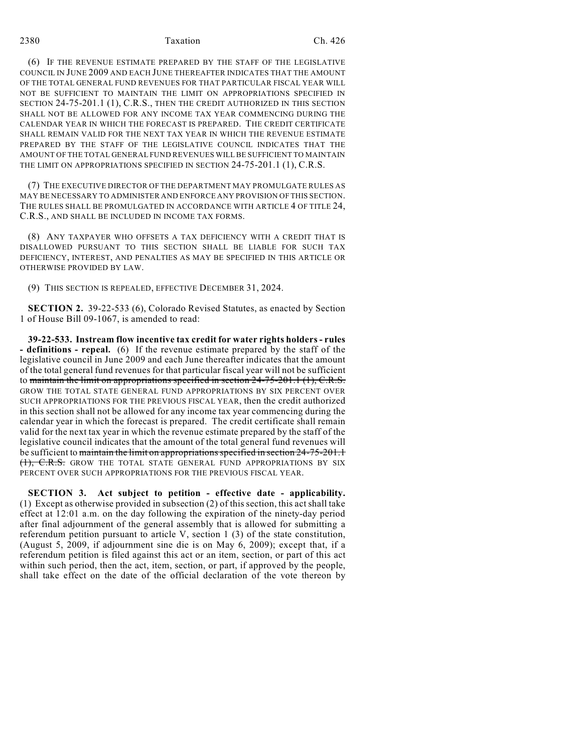## 2380 Taxation Ch. 426

(6) IF THE REVENUE ESTIMATE PREPARED BY THE STAFF OF THE LEGISLATIVE COUNCIL IN JUNE 2009 AND EACH JUNE THEREAFTER INDICATES THAT THE AMOUNT OF THE TOTAL GENERAL FUND REVENUES FOR THAT PARTICULAR FISCAL YEAR WILL NOT BE SUFFICIENT TO MAINTAIN THE LIMIT ON APPROPRIATIONS SPECIFIED IN SECTION 24-75-201.1 (1), C.R.S., THEN THE CREDIT AUTHORIZED IN THIS SECTION SHALL NOT BE ALLOWED FOR ANY INCOME TAX YEAR COMMENCING DURING THE CALENDAR YEAR IN WHICH THE FORECAST IS PREPARED. THE CREDIT CERTIFICATE SHALL REMAIN VALID FOR THE NEXT TAX YEAR IN WHICH THE REVENUE ESTIMATE PREPARED BY THE STAFF OF THE LEGISLATIVE COUNCIL INDICATES THAT THE AMOUNT OF THE TOTAL GENERAL FUND REVENUES WILL BE SUFFICIENT TO MAINTAIN THE LIMIT ON APPROPRIATIONS SPECIFIED IN SECTION 24-75-201.1 (1), C.R.S.

(7) THE EXECUTIVE DIRECTOR OF THE DEPARTMENT MAY PROMULGATE RULES AS MAY BE NECESSARY TO ADMINISTER AND ENFORCE ANY PROVISION OFTHIS SECTION. THE RULES SHALL BE PROMULGATED IN ACCORDANCE WITH ARTICLE 4 OF TITLE 24, C.R.S., AND SHALL BE INCLUDED IN INCOME TAX FORMS.

(8) ANY TAXPAYER WHO OFFSETS A TAX DEFICIENCY WITH A CREDIT THAT IS DISALLOWED PURSUANT TO THIS SECTION SHALL BE LIABLE FOR SUCH TAX DEFICIENCY, INTEREST, AND PENALTIES AS MAY BE SPECIFIED IN THIS ARTICLE OR OTHERWISE PROVIDED BY LAW.

(9) THIS SECTION IS REPEALED, EFFECTIVE DECEMBER 31, 2024.

**SECTION 2.** 39-22-533 (6), Colorado Revised Statutes, as enacted by Section 1 of House Bill 09-1067, is amended to read:

**39-22-533. Instream flow incentive tax credit for water rights holders - rules - definitions - repeal.** (6) If the revenue estimate prepared by the staff of the legislative council in June 2009 and each June thereafter indicates that the amount of the total general fund revenues for that particular fiscal year will not be sufficient to maintain the limit on appropriations specified in section 24-75-201.1 (1), C.R.S. GROW THE TOTAL STATE GENERAL FUND APPROPRIATIONS BY SIX PERCENT OVER SUCH APPROPRIATIONS FOR THE PREVIOUS FISCAL YEAR, then the credit authorized in this section shall not be allowed for any income tax year commencing during the calendar year in which the forecast is prepared. The credit certificate shall remain valid for the next tax year in which the revenue estimate prepared by the staff of the legislative council indicates that the amount of the total general fund revenues will be sufficient to maintain the limit on appropriations specified in section 24-75-201.1 (1), C.R.S. GROW THE TOTAL STATE GENERAL FUND APPROPRIATIONS BY SIX PERCENT OVER SUCH APPROPRIATIONS FOR THE PREVIOUS FISCAL YEAR.

**SECTION 3. Act subject to petition - effective date - applicability.** (1) Except as otherwise provided in subsection (2) of this section, this act shall take effect at 12:01 a.m. on the day following the expiration of the ninety-day period after final adjournment of the general assembly that is allowed for submitting a referendum petition pursuant to article V, section 1 (3) of the state constitution, (August 5, 2009, if adjournment sine die is on May 6, 2009); except that, if a referendum petition is filed against this act or an item, section, or part of this act within such period, then the act, item, section, or part, if approved by the people, shall take effect on the date of the official declaration of the vote thereon by